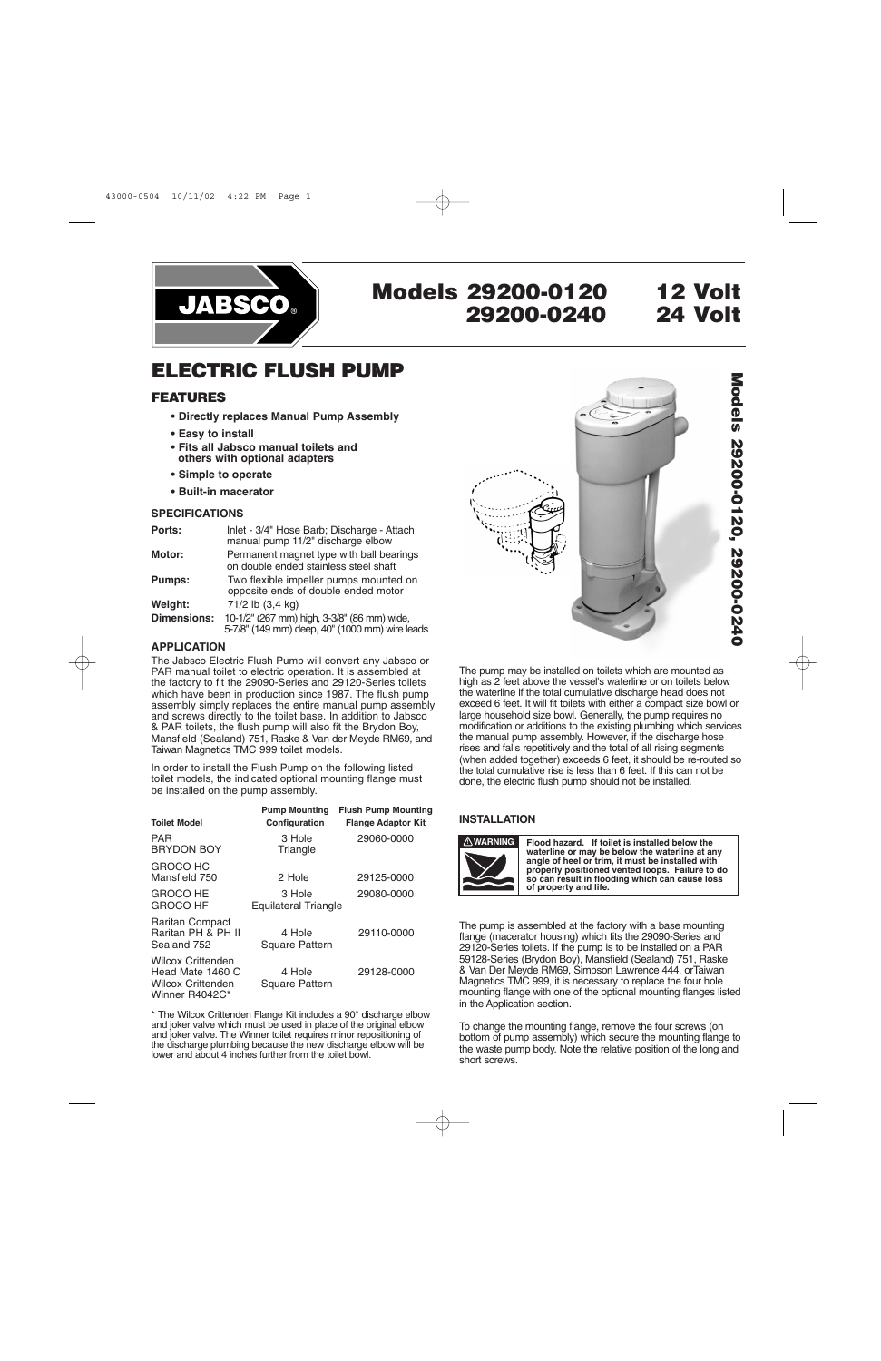

# **Models 29200-0120 12 Volt 29200-0240 24 Volt**

# **ELECTRIC FLUSH PUMP**

### **FEATURES**

- **Directly replaces Manual Pump Assembly**
- **Easy to install**
- **Fits all Jabsco manual toilets and others with optional adapters**
- **Simple to operate**
- **Built-in macerator**

#### **SPECIFICATIONS**

| Ports:             | Inlet - 3/4" Hose Barb; Discharge - Attach<br>manual pump 11/2" discharge elbow               |
|--------------------|-----------------------------------------------------------------------------------------------|
| Motor:             | Permanent magnet type with ball bearings<br>on double ended stainless steel shaft             |
| <b>Pumps:</b>      | Two flexible impeller pumps mounted on<br>opposite ends of double ended motor                 |
| Weight:            | 71/2 lb (3,4 kg)                                                                              |
| <b>Dimensions:</b> | 10-1/2" (267 mm) high, 3-3/8" (86 mm) wide,<br>5-7/8" (149 mm) deep, 40" (1000 mm) wire leads |

#### **APPLICATION**

The Jabsco Electric Flush Pump will convert any Jabsco or PAR manual toilet to electric operation. It is assembled at the factory to fit the 29090-Series and 29120-Series toilets which have been in production since 1987. The flush pump assembly simply replaces the entire manual pump assembly and screws directly to the toilet base. In addition to Jabsco & PAR toilets, the flush pump will also fit the Brydon Boy, Mansfield (Sealand) 751, Raske & Van der Meyde RM69, and Taiwan Magnetics TMC 999 toilet models.

In order to install the Flush Pump on the following listed toilet models, the indicated optional mounting flange must be installed on the pump assembly.

| <b>Toilet Model</b>                                                                 | <b>Pump Mounting</b><br>Configuration | <b>Flush Pump Mounting</b><br><b>Flange Adaptor Kit</b> |
|-------------------------------------------------------------------------------------|---------------------------------------|---------------------------------------------------------|
| <b>PAR</b><br><b>BRYDON BOY</b>                                                     | 3 Hole<br>Triangle                    | 29060-0000                                              |
| <b>GROCO HC</b><br>Mansfield 750                                                    | 2 Hole                                | 29125-0000                                              |
| <b>GROCO HE</b><br><b>GROCO HF</b>                                                  | 3 Hole<br>Equilateral Triangle        | 29080-0000                                              |
| Raritan Compact<br>Raritan PH & PH II<br>Sealand 752                                | 4 Hole<br>Square Pattern              | 29110-0000                                              |
| Wilcox Crittenden<br>Head Mate 1460 C<br><b>Wilcox Crittenden</b><br>Winner R4042C* | 4 Hole<br>Square Pattern              | 29128-0000                                              |

\* The Wilcox Crittenden Flange Kit includes a 90° discharge elbow and joker valve which must be used in place of the original elbow and joker valve. The Winner toilet requires minor repositioning of the discharge plumbing because the new discharge elbow will be lower and about 4 inches further from the toilet bowl.



The pump may be installed on toilets which are mounted as high as 2 feet above the vessel's waterline or on toilets below the waterline if the total cumulative discharge head does not exceed 6 feet. It will fit toilets with either a compact size bowl or large household size bowl. Generally, the pump requires no modification or additions to the existing plumbing which services the manual pump assembly. However, if the discharge hose rises and falls repetitively and the total of all rising segments (when added together) exceeds 6 feet, it should be re-routed so the total cumulative rise is less than 6 feet. If this can not be done, the electric flush pump should not be installed.

#### **INSTALLATION**



**Flood hazard. If toilet is installed below the waterline or may be below the waterline at any angle of heel or trim, it must be installed with properly positioned vented loops. Failure to do so can result in flooding which can cause loss of property and life.**

The pump is assembled at the factory with a base mounting flange (macerator housing) which fits the 29090-Series and 29120-Series toilets. If the pump is to be installed on a PAR 59128-Series (Brydon Boy), Mansfield (Sealand) 751, Raske & Van Der Meyde RM69, Simpson Lawrence 444, orTaiwan Magnetics TMC 999, it is necessary to replace the four hole mounting flange with one of the optional mounting flanges listed in the Application section.

To change the mounting flange, remove the four screws (on bottom of pump assembly) which secure the mounting flange to the waste pump body. Note the relative position of the long and short screws.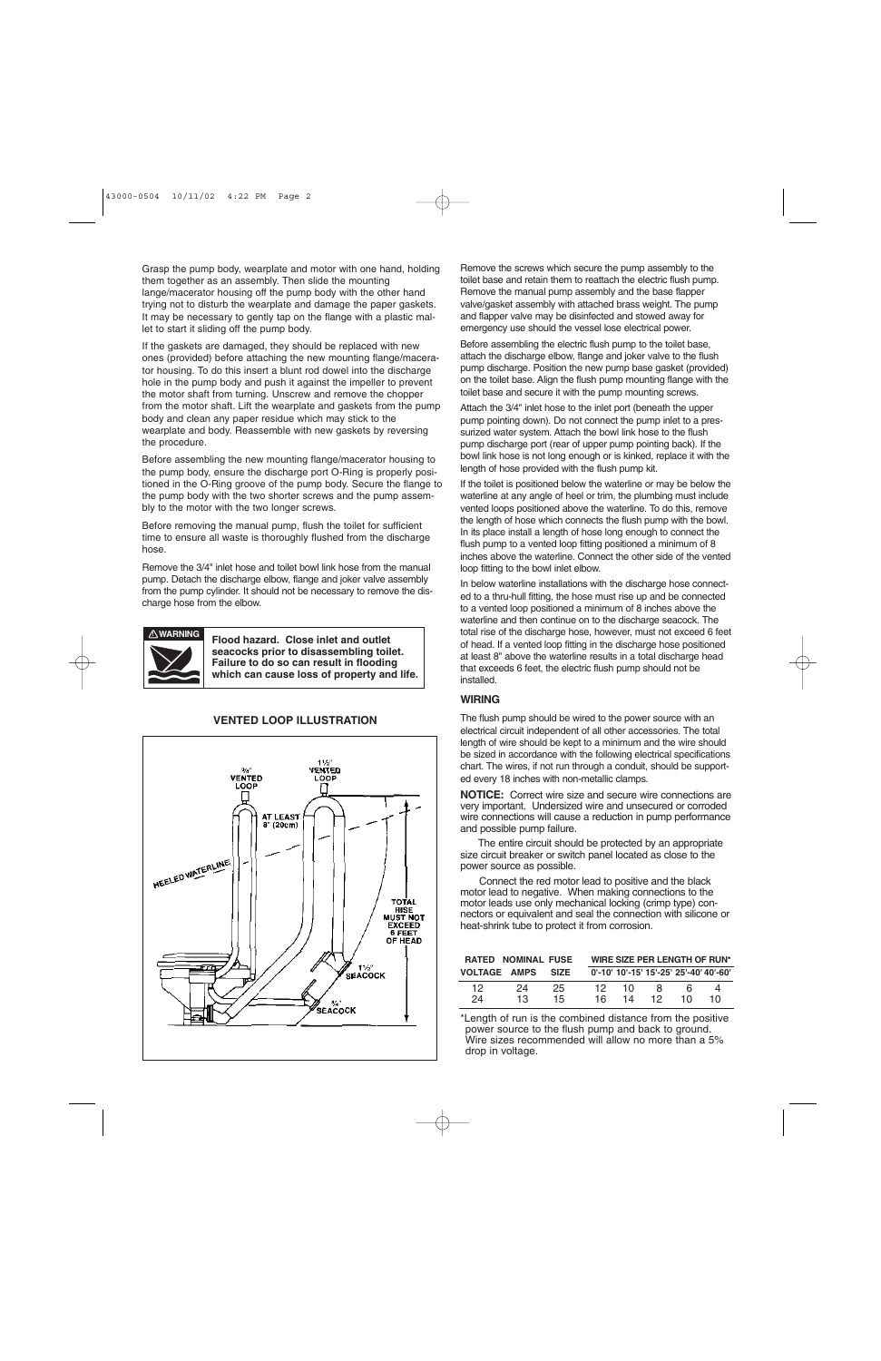Grasp the pump body, wearplate and motor with one hand, holding them together as an assembly. Then slide the mounting lange/macerator housing off the pump body with the other hand trying not to disturb the wearplate and damage the paper gaskets. It may be necessary to gently tap on the flange with a plastic mallet to start it sliding off the pump body.

If the gaskets are damaged, they should be replaced with new ones (provided) before attaching the new mounting flange/macerator housing. To do this insert a blunt rod dowel into the discharge hole in the pump body and push it against the impeller to prevent the motor shaft from turning. Unscrew and remove the chopper from the motor shaft. Lift the wearplate and gaskets from the pump body and clean any paper residue which may stick to the wearplate and body. Reassemble with new gaskets by reversing the procedure.

Before assembling the new mounting flange/macerator housing to the pump body, ensure the discharge port O-Ring is properly positioned in the O-Ring groove of the pump body. Secure the flange to the pump body with the two shorter screws and the pump assembly to the motor with the two longer screws.

Before removing the manual pump, flush the toilet for sufficient time to ensure all waste is thoroughly flushed from the discharge hose.

Remove the 3/4" inlet hose and toilet bowl link hose from the manual pump. Detach the discharge elbow, flange and joker valve assembly from the pump cylinder. It should not be necessary to remove the discharge hose from the elbow.



**! WARNING Flood hazard. Close inlet and outlet seacocks prior to disassembling toilet. Failure to do so can result in flooding which can cause loss of property and life.**

#### **VENTED LOOP ILLUSTRATION**



Remove the screws which secure the pump assembly to the toilet base and retain them to reattach the electric flush pump. Remove the manual pump assembly and the base flapper valve/gasket assembly with attached brass weight. The pump and flapper valve may be disinfected and stowed away for emergency use should the vessel lose electrical power.

Before assembling the electric flush pump to the toilet base, attach the discharge elbow, flange and joker valve to the flush pump discharge. Position the new pump base gasket (provided) on the toilet base. Align the flush pump mounting flange with the toilet base and secure it with the pump mounting screws.

Attach the 3/4" inlet hose to the inlet port (beneath the upper pump pointing down). Do not connect the pump inlet to a pressurized water system. Attach the bowl link hose to the flush pump discharge port (rear of upper pump pointing back). If the bowl link hose is not long enough or is kinked, replace it with the length of hose provided with the flush pump kit.

If the toilet is positioned below the waterline or may be below the waterline at any angle of heel or trim, the plumbing must include vented loops positioned above the waterline. To do this, remove the length of hose which connects the flush pump with the bowl. In its place install a length of hose long enough to connect the flush pump to a vented loop fitting positioned a minimum of 8 inches above the waterline. Connect the other side of the vented loop fitting to the bowl inlet elbow.

In below waterline installations with the discharge hose connected to a thru-hull fitting, the hose must rise up and be connected to a vented loop positioned a minimum of 8 inches above the waterline and then continue on to the discharge seacock. The total rise of the discharge hose, however, must not exceed 6 feet of head. If a vented loop fitting in the discharge hose positioned at least 8" above the waterline results in a total discharge head that exceeds 6 feet, the electric flush pump should not be installed.

#### **WIRING**

The flush pump should be wired to the power source with an electrical circuit independent of all other accessories. The total length of wire should be kept to a minimum and the wire should be sized in accordance with the following electrical specifications chart. The wires, if not run through a conduit, should be supported every 18 inches with non-metallic clamps.

**NOTICE:** Correct wire size and secure wire connections are very important. Undersized wire and unsecured or corroded wire connections will cause a reduction in pump performance and possible pump failure.

The entire circuit should be protected by an appropriate size circuit breaker or switch panel located as close to the power source as possible.

Connect the red motor lead to positive and the black motor lead to negative. When making connections to the motor leads use only mechanical locking (crimp type) connectors or equivalent and seal the connection with silicone or heat-shrink tube to protect it from corrosion.

|                     | <b>RATED NOMINAL FUSE</b> |             |     |     | WIRE SIZE PER LENGTH OF RUN*           |     |     |
|---------------------|---------------------------|-------------|-----|-----|----------------------------------------|-----|-----|
| <b>VOLTAGE AMPS</b> |                           | <b>SIZE</b> |     |     | 0'-10' 10'-15' 15'-25' 25'-40' 40'-60' |     |     |
| 12                  | 24                        | 25.         | 12. | 10. |                                        | ĥ   |     |
| 24                  | 13.                       | 15          | 16. | 14  | 12                                     | 10. | 10. |

\*Length of run is the combined distance from the positive power source to the flush pump and back to ground. Wire sizes recommended will allow no more than a 5% drop in voltage.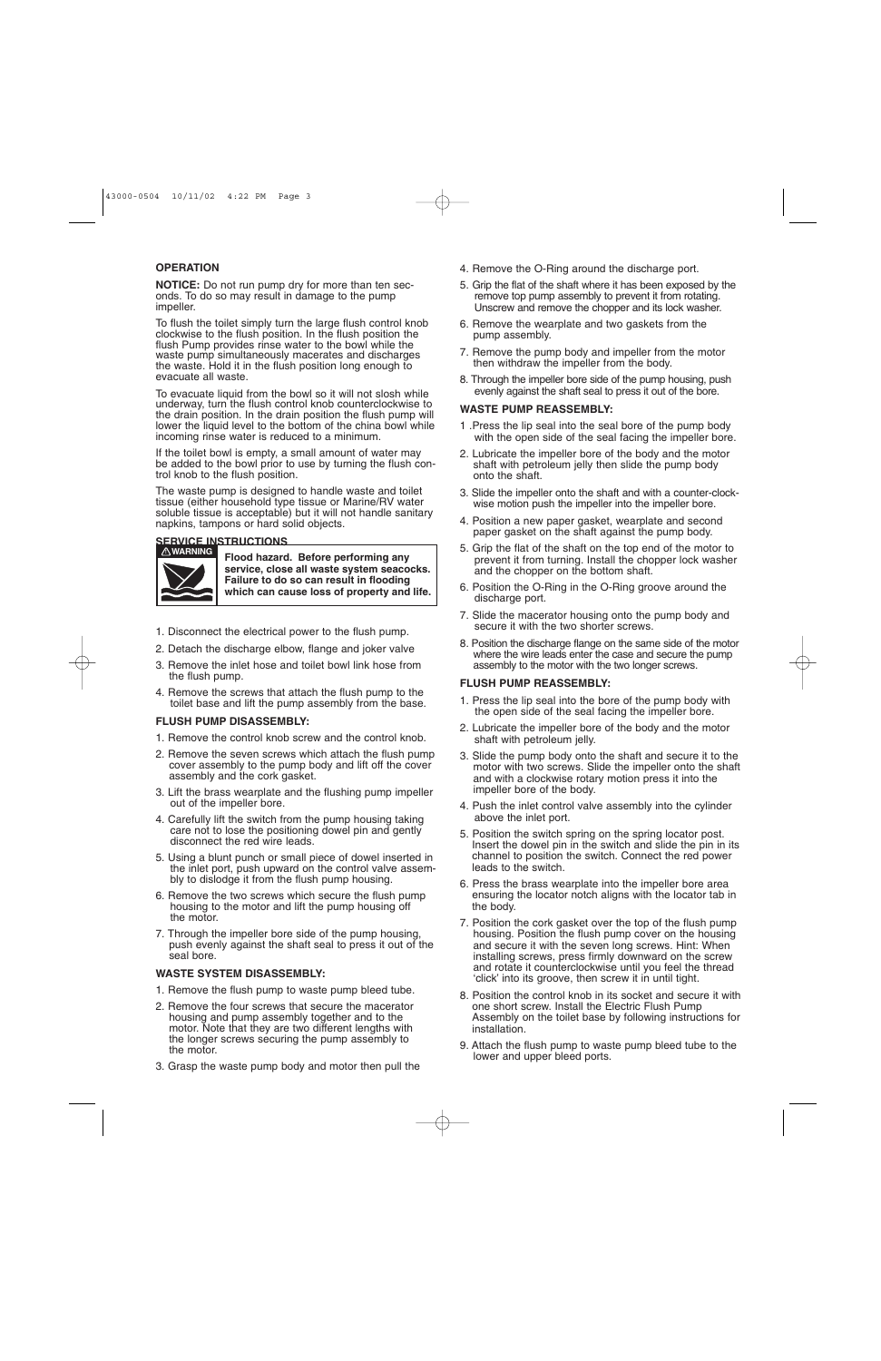#### **OPERATION**

**NOTICE:** Do not run pump dry for more than ten seconds. To do so may result in damage to the pump impeller.

To flush the toilet simply turn the large flush control knob clockwise to the flush position. In the flush position the flush Pump provides rinse water to the bowl while the waste pump simultaneously macerates and discharges the waste. Hold it in the flush position long enough to evacuate all waste.

To evacuate liquid from the bowl so it will not slosh while underway, turn the flush control knob counterclockwise to the drain position. In the drain position the flush pump will lower the liquid level to the bottom of the china bowl while incoming rinse water is reduced to a minimum.

If the toilet bowl is empty, a small amount of water may be added to the bowl prior to use by turning the flush control knob to the flush position.

The waste pump is designed to handle waste and toilet tissue (either household type tissue or Marine/RV water soluble tissue is acceptable) but it will not handle sanitary napkins, tampons or hard solid objects.

## **SERVICE INSTRUCTIONS**<br>AWARNING



**Flood hazard. Before performing any service, close all waste system seacocks. Failure to do so can result in flooding which can cause loss of property and life.**

- 1. Disconnect the electrical power to the flush pump.
- 2. Detach the discharge elbow, flange and joker valve
- 3. Remove the inlet hose and toilet bowl link hose from the flush pump.
- 4. Remove the screws that attach the flush pump to the toilet base and lift the pump assembly from the base.

#### **FLUSH PUMP DISASSEMBLY:**

- 1. Remove the control knob screw and the control knob.
- 2. Remove the seven screws which attach the flush pump cover assembly to the pump body and lift off the cover assembly and the cork gasket.
- 3. Lift the brass wearplate and the flushing pump impeller out of the impeller bore.
- 4. Carefully lift the switch from the pump housing taking care not to lose the positioning dowel pin and gently disconnect the red wire leads.
- 5. Using a blunt punch or small piece of dowel inserted in the inlet port, push upward on the control valve assembly to dislodge it from the flush pump housing.
- 6. Remove the two screws which secure the flush pump housing to the motor and lift the pump housing off the motor.
- 7. Through the impeller bore side of the pump housing, push evenly against the shaft seal to press it out of the seal bore.

#### **WASTE SYSTEM DISASSEMBLY:**

- 1. Remove the flush pump to waste pump bleed tube.
- 2. Remove the four screws that secure the macerator housing and pump assembly together and to the motor. Note that they are two different lengths with the longer screws securing the pump assembly to the motor.
- 3. Grasp the waste pump body and motor then pull the
- 4. Remove the O-Ring around the discharge port.
- 5. Grip the flat of the shaft where it has been exposed by the remove top pump assembly to prevent it from rotating. Unscrew and remove the chopper and its lock washer.
- 6. Remove the wearplate and two gaskets from the pump assembly.
- 7. Remove the pump body and impeller from the motor then withdraw the impeller from the body.
- 8. Through the impeller bore side of the pump housing, push evenly against the shaft seal to press it out of the bore.

#### **WASTE PUMP REASSEMBLY:**

- 1 .Press the lip seal into the seal bore of the pump body with the open side of the seal facing the impeller bore.
- 2. Lubricate the impeller bore of the body and the motor shaft with petroleum jelly then slide the pump body onto the shaft.
- 3. Slide the impeller onto the shaft and with a counter-clockwise motion push the impeller into the impeller bore.
- 4. Position a new paper gasket, wearplate and second paper gasket on the shaft against the pump body.
- 5. Grip the flat of the shaft on the top end of the motor to prevent it from turning. Install the chopper lock washer and the chopper on the bottom shaft.
- 6. Position the O-Ring in the O-Ring groove around the discharge port.
- 7. Slide the macerator housing onto the pump body and secure it with the two shorter screws.
- 8. Position the discharge flange on the same side of the motor where the wire leads enter the case and secure the pump assembly to the motor with the two longer screws.

#### **FLUSH PUMP REASSEMBLY:**

- 1. Press the lip seal into the bore of the pump body with the open side of the seal facing the impeller bore.
- 2. Lubricate the impeller bore of the body and the motor shaft with petroleum jelly.
- 3. Slide the pump body onto the shaft and secure it to the motor with two screws. Slide the impeller onto the shaft and with a clockwise rotary motion press it into the impeller bore of the body.
- 4. Push the inlet control valve assembly into the cylinder above the inlet port.
- 5. Position the switch spring on the spring locator post. Insert the dowel pin in the switch and slide the pin in its channel to position the switch. Connect the red power leads to the switch.
- 6. Press the brass wearplate into the impeller bore area ensuring the locator notch aligns with the locator tab in the body.
- 7. Position the cork gasket over the top of the flush pump housing. Position the flush pump cover on the housing and secure it with the seven long screws. Hint: When installing screws, press firmly downward on the screw and rotate it counterclockwise until you feel the thread 'click' into its groove, then screw it in until tight.
- 8. Position the control knob in its socket and secure it with one short screw. Install the Electric Flush Pump Assembly on the toilet base by following instructions for installation.
- 9. Attach the flush pump to waste pump bleed tube to the lower and upper bleed ports.